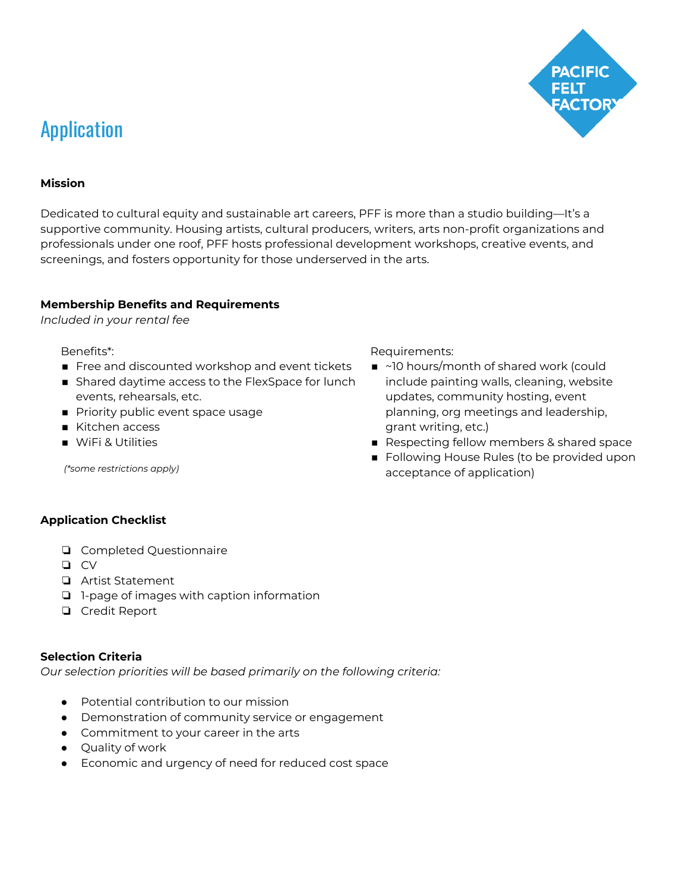

# Application

#### **Mission**

Dedicated to cultural equity and sustainable art careers, PFF is more than a studio building―It's a supportive community. Housing artists, cultural producers, writers, arts non-profit organizations and professionals under one roof, PFF hosts professional development workshops, creative events, and screenings, and fosters opportunity for those underserved in the arts.

#### **Membership Benefits and Requirements**

*Included in your rental fee*

Benefits\*:

- Free and discounted workshop and event tickets
- Shared daytime access to the FlexSpace for lunch events, rehearsals, etc.
- Priority public event space usage
- Kitchen access
- WiFi & Utilities

*(\*some restrictions apply)*

Requirements:

- ~10 hours/month of shared work (could include painting walls, cleaning, website updates, community hosting, event planning, org meetings and leadership, grant writing, etc.)
- Respecting fellow members & shared space
- Following House Rules (to be provided upon acceptance of application)

## **Application Checklist**

- ❏ Completed Questionnaire
- ❏ CV
- ❏ Artist Statement
- ❏ 1-page of images with caption information
- ❏ Credit Report

## **Selection Criteria**

*Our selection priorities will be based primarily on the following criteria:*

- Potential contribution to our mission
- Demonstration of community service or engagement
- Commitment to your career in the arts
- Quality of work
- Economic and urgency of need for reduced cost space